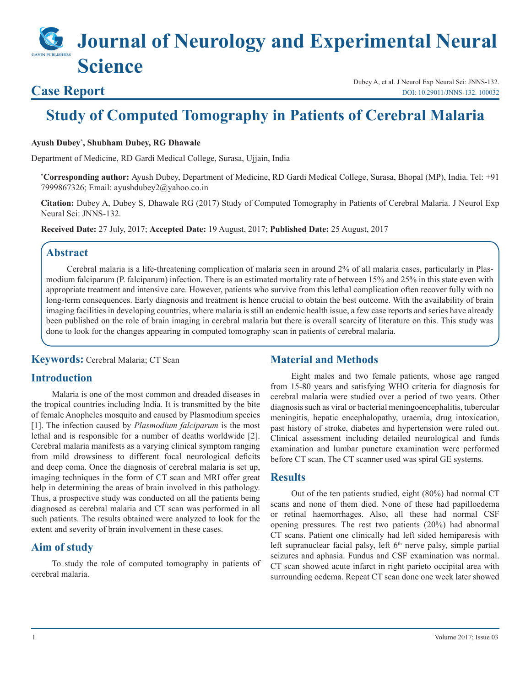# **Journal of Neurology and Experimental Neural Science**

**Case Report** Dubey A, et al. J Neurol Exp Neural Sci: JNNS-132.<br>Dubey A, et al. J Neurol Exp Neural Sci: JNNS-132.<br>DOI: 10.29011/JNNS-132. 100032 [DOI: 10.29011/JNNS-132. 100032](http://doi.org/10.29011/JNNS-132. 100032)

## **Study of Computed Tomography in Patients of Cerebral Malaria**

#### **Ayush Dubey\* , Shubham Dubey, RG Dhawale**

Department of Medicine, RD Gardi Medical College, Surasa, Ujjain, India

**\* Corresponding author:** Ayush Dubey, Department of Medicine, RD Gardi Medical College, Surasa, Bhopal (MP), India. Tel: +91 7999867326; Email: ayushdubey2@yahoo.co.in

**Citation:** Dubey A, Dubey S, Dhawale RG (2017) Study of Computed Tomography in Patients of Cerebral Malaria. J Neurol Exp Neural Sci: JNNS-132.

**Received Date:** 27 July, 2017; **Accepted Date:** 19 August, 2017; **Published Date:** 25 August, 2017

#### **Abstract**

Cerebral malaria is a life-threatening complication of malaria seen in around 2% of all malaria cases, particularly in Plasmodium falciparum (P. falciparum) infection. There is an estimated mortality rate of between 15% and 25% in this state even with appropriate treatment and intensive care. However, patients who survive from this lethal complication often recover fully with no long-term consequences. Early diagnosis and treatment is hence crucial to obtain the best outcome. With the availability of brain imaging facilities in developing countries, where malaria is still an endemic health issue, a few case reports and series have already been published on the role of brain imaging in cerebral malaria but there is overall scarcity of literature on this. This study was done to look for the changes appearing in computed tomography scan in patients of cerebral malaria.

**Keywords:** Cerebral Malaria; CT Scan

#### **Material and Methods**

#### **Introduction**

Malaria is one of the most common and dreaded diseases in the tropical countries including India. It is transmitted by the bite of female Anopheles mosquito and caused by Plasmodium species [1]. The infection caused by *Plasmodium falciparum* is the most lethal and is responsible for a number of deaths worldwide [2]. Cerebral malaria manifests as a varying clinical symptom ranging from mild drowsiness to different focal neurological deficits and deep coma. Once the diagnosis of cerebral malaria is set up, imaging techniques in the form of CT scan and MRI offer great help in determining the areas of brain involved in this pathology. Thus, a prospective study was conducted on all the patients being diagnosed as cerebral malaria and CT scan was performed in all such patients. The results obtained were analyzed to look for the extent and severity of brain involvement in these cases.

#### **Aim of study**

To study the role of computed tomography in patients of cerebral malaria.

Eight males and two female patients, whose age ranged from 15-80 years and satisfying WHO criteria for diagnosis for cerebral malaria were studied over a period of two years. Other diagnosis such as viral or bacterial meningoencephalitis, tubercular meningitis, hepatic encephalopathy, uraemia, drug intoxication, past history of stroke, diabetes and hypertension were ruled out. Clinical assessment including detailed neurological and funds examination and lumbar puncture examination were performed before CT scan. The CT scanner used was spiral GE systems.

#### **Results**

Out of the ten patients studied, eight (80%) had normal CT scans and none of them died. None of these had papilloedema or retinal haemorrhages. Also, all these had normal CSF opening pressures. The rest two patients (20%) had abnormal CT scans. Patient one clinically had left sided hemiparesis with left supranuclear facial palsy, left  $6<sup>th</sup>$  nerve palsy, simple partial seizures and aphasia. Fundus and CSF examination was normal. CT scan showed acute infarct in right parieto occipital area with surrounding oedema. Repeat CT scan done one week later showed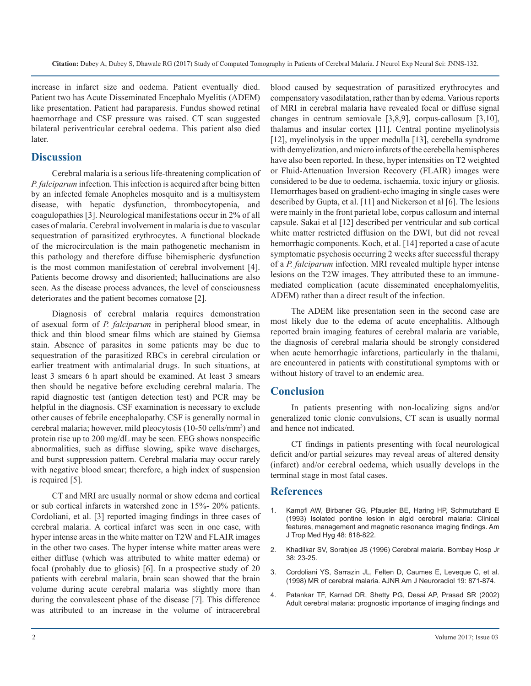increase in infarct size and oedema. Patient eventually died. Patient two has Acute Disseminated Encephalo Myelitis (ADEM) like presentation. Patient had paraparesis. Fundus showed retinal haemorrhage and CSF pressure was raised. CT scan suggested bilateral periventricular cerebral oedema. This patient also died later.

### **Discussion**

Cerebral malaria is a serious life-threatening complication of *P. falciparum* infection. This infection is acquired after being bitten by an infected female Anopheles mosquito and is a multisystem disease, with hepatic dysfunction, thrombocytopenia, and coagulopathies [3]. Neurological manifestations occur in 2% of all cases of malaria. Cerebral involvement in malaria is due to vascular sequestration of parasitized erythrocytes. A functional blockade of the microcirculation is the main pathogenetic mechanism in this pathology and therefore diffuse bihemispheric dysfunction is the most common manifestation of cerebral involvement [4]. Patients become drowsy and disoriented; hallucinations are also seen. As the disease process advances, the level of consciousness deteriorates and the patient becomes comatose [2].

Diagnosis of cerebral malaria requires demonstration of asexual form of *P. falciparum* in peripheral blood smear, in thick and thin blood smear films which are stained by Giemsa stain. Absence of parasites in some patients may be due to sequestration of the parasitized RBCs in cerebral circulation or earlier treatment with antimalarial drugs. In such situations, at least 3 smears 6 h apart should be examined. At least 3 smears then should be negative before excluding cerebral malaria. The rapid diagnostic test (antigen detection test) and PCR may be helpful in the diagnosis. CSF examination is necessary to exclude other causes of febrile encephalopathy. CSF is generally normal in cerebral malaria; however, mild pleocytosis (10-50 cells/mm3 ) and protein rise up to 200 mg/dL may be seen. EEG shows nonspecific abnormalities, such as diffuse slowing, spike wave discharges, and burst suppression pattern. Cerebral malaria may occur rarely with negative blood smear; therefore, a high index of suspension is required [5].

CT and MRI are usually normal or show edema and cortical or sub cortical infarcts in watershed zone in 15%- 20% patients. Cordoliani, et al. [3] reported imaging findings in three cases of cerebral malaria. A cortical infarct was seen in one case, with hyper intense areas in the white matter on T2W and FLAIR images in the other two cases. The hyper intense white matter areas were either diffuse (which was attributed to white matter edema) or focal (probably due to gliosis) [6]. In a prospective study of 20 patients with cerebral malaria, brain scan showed that the brain volume during acute cerebral malaria was slightly more than during the convalescent phase of the disease [7]. This difference was attributed to an increase in the volume of intracerebral

blood caused by sequestration of parasitized erythrocytes and compensatory vasodilatation, rather than by edema. Various reports of MRI in cerebral malaria have revealed focal or diffuse signal changes in centrum semiovale [3,8,9], corpus-callosum [3,10], thalamus and insular cortex [11]. Central pontine myelinolysis [12], myelinolysis in the upper medulla [13], cerebella syndrome with demyelization, and micro infarcts of the cerebella hemispheres have also been reported. In these, hyper intensities on T2 weighted or Fluid-Attenuation Inversion Recovery (FLAIR) images were considered to be due to oedema, ischaemia, toxic injury or gliosis. Hemorrhages based on gradient-echo imaging in single cases were described by Gupta, et al. [11] and Nickerson et al [6]. The lesions were mainly in the front parietal lobe, corpus callosum and internal capsule. Sakai et al [12] described per ventricular and sub cortical white matter restricted diffusion on the DWI, but did not reveal hemorrhagic components. Koch, et al. [14] reported a case of acute symptomatic psychosis occurring 2 weeks after successful therapy of a *P. falciparum* infection. MRI revealed multiple hyper intense lesions on the T2W images. They attributed these to an immunemediated complication (acute disseminated encephalomyelitis, ADEM) rather than a direct result of the infection.

The ADEM like presentation seen in the second case are most likely due to the edema of acute encephalitis. Although reported brain imaging features of cerebral malaria are variable, the diagnosis of cerebral malaria should be strongly considered when acute hemorrhagic infarctions, particularly in the thalami, are encountered in patients with constitutional symptoms with or without history of travel to an endemic area.

#### **Conclusion**

In patients presenting with non-localizing signs and/or generalized tonic clonic convulsions, CT scan is usually normal and hence not indicated.

CT findings in patients presenting with focal neurological deficit and/or partial seizures may reveal areas of altered density (infarct) and/or cerebral oedema, which usually develops in the terminal stage in most fatal cases.

#### **References**

- 1. [Kampfl AW, Birbaner GG, Pfausler BE, Haring HP, Schmutzhard E](https://www.ncbi.nlm.nih.gov/labs/articles/8333575/)  (1993) Isolated pontine lesion in algid cerebral malaria: Clinical [features, management and magnetic resonance imaging findings. Am](https://www.ncbi.nlm.nih.gov/labs/articles/8333575/)  [J Trop Med Hyg 48: 818-822](https://www.ncbi.nlm.nih.gov/labs/articles/8333575/).
- 2. Khadilkar SV, Sorabjee JS (1996) Cerebral malaria. Bombay Hosp Jr 38: 23-25.
- 3. [Cordoliani YS, Sarrazin JL, Felten D, Caumes E, Leveque C, et al.](http://www.ajnr.org/content/19/5/871)  (1998) MR of cerebral malaria. AJNR Am J Neuroradiol 19: 871-874.
- 4. [Patankar TF, Karnad DR, Shetty PG, Desai AP, Prasad SR \(2002\)](https://www.ncbi.nlm.nih.gov/pubmed/12202719)  Adult cerebral malaria: prognostic importance of imaging findings and